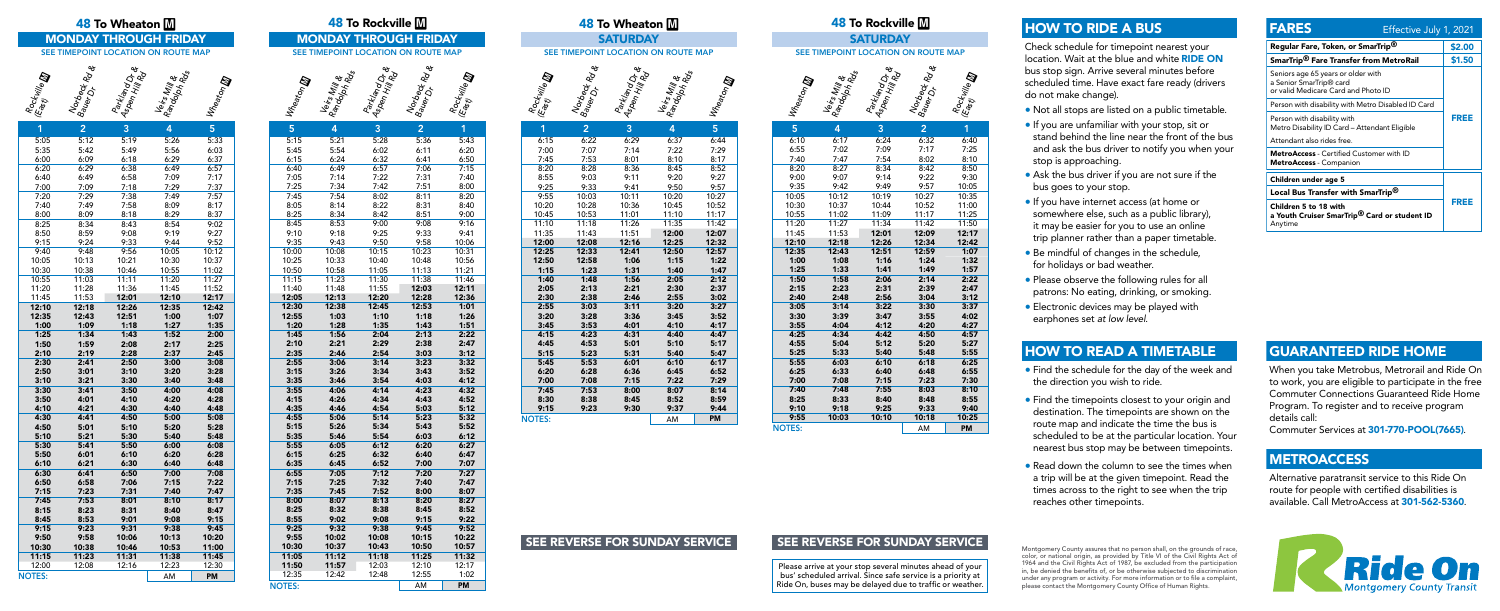### Rockville **m** Norbeck Rade Bauer<br>Bauer Parkland Dr &<br>Aspen Hill Dr &<br>Mill Rd Veirs Mill &<br><sup>Randolphil</sup> &<br><sup>Randolph</sup> Rols **Wheaton**

Please arrive at your stop several minutes ahead of your bus' scheduled arrival. Since safe service is a priority at Ride On, buses may be delayed due to traffic or weather.





| 1             | $\overline{2}$ | 3            | 4            | 5            |
|---------------|----------------|--------------|--------------|--------------|
| 5:05          | 5:12           | 5:19         | 5:26         | 5:33         |
| 5:35          | 5:42           | 5:49         | 5:56         | 6:03         |
| 6:00          | 6:09           | 6:18         | 6:29         | 6:37         |
| 6:20          | 6:29           | 6:38         | 6:49         | 6:57         |
| 6:40          | 6:49           | 6:58         | 7:09         | 7:17         |
| 7:00          | 7:09           | 7:18         | 7:29         | 7:37         |
| 7:20          | 7:29           | 7:38         | 7:49         | 7:57         |
| 7:40          | 7:49           | 7:58         | 8:09         | 8:17         |
| 8:00          | 8:09           | 8:18         | 8:29         | 8:37         |
| 8:25          | 8:34           | 8:43         | 8:54         | 9:02         |
| 8:50          | 8:59           | 9:08         | 9:19         | 9:27         |
| 9:15          | 9:24           | 9:33         | 9:44         | 9:52         |
| 9:40          | 9:48           | 9:56         | 10:05        | 10:12        |
| 10:05         | 10:13          | 10:21        | 10:30        | 10:37        |
| 10:30         | 10:38          | 10:46        | 10:55        | 11:02        |
| 10:55         | 11:03          | 11:11        | 11:20        | 11:27        |
| 11:20         | 11:28          | 11:36        | 11:45        | 11:52        |
| 11:45         | 11:53          | 12:01        | 12:10        | 12:17        |
| 12:10         | 12:18          | 12:26        | 12:35        | 12:42        |
| 12:35         | 12:43          | 12:51        | 1:00         | 1:07         |
| 1:00          | 1:09           | 1:18         | 1:27         | 1:35         |
| 1:25          | 1:34           | 1:43         | 1:52         | 2:00         |
| 1:50          | 1:59           | 2:08         | 2:17         | 2:25         |
| 2:10          | 2:19           | 2:28         | 2:37         | 2:45         |
| 2:30          | 2:41           | 2:50         | 3:00         | 3:08         |
| 2:50          | 3:01           | 3:10         | 3:20         | 3:28         |
| 3:10          | 3:21           | 3:30         | 3:40         | 3:48         |
| 3:30          | 3:41           | 3:50         | 4:00         | 4:08         |
| 3:50          | 4:01           | 4:10         | 4:20         | 4:28         |
| 4:10          | 4:21           | 4:30         | 4:40         | 4:48         |
| 4:30          | 4:41           | 4:50         | 5:00         | 5:08         |
| 4:50          | 5:01           | 5:10         | 5:20         | 5:28         |
| 5:10          | 5:21           | 5:30         | 5:40         | 5:48         |
| 5:30          | 5:41           | 5:50         | 6:00         | 6:08         |
| 5:50          | 6:01           | 6:10         | 6:20         | 6:28         |
| 6:10          | 6:21           | 6:30         | 6:40         | 6:48         |
| 6:30          | 6:41           | 6:50         | 7:00         | 7:08         |
| 6:50          | 6:58           | 7:06         | 7:15         | 7:22         |
| 7:15          | 7:23           | 7:31         | 7:40         | 7:47         |
| 7:45<br>8:15  | 7:53<br>8:23   | 8:01         | 8:10         | 8:17         |
|               |                | 8:31         | 8:40         | 8:47         |
| 8:45<br>9:15  | 8:53<br>9:23   | 9:01<br>9:31 | 9:08<br>9:38 | 9:15<br>9:45 |
| 9:50          | 9:58           | 10:06        | 10:13        | 10:20        |
| 10:30         | 10:38          | 10:46        | 10:53        | 11:00        |
| 11:15         | 11:23          | 11:31        | 11:38        | 11:45        |
| 12:00         | 12:08          | 12:16        | 12:23        | 12:30        |
| <b>NOTES:</b> |                |              | AM           | PM           |
|               |                |              |              |              |

|                 |                | 48 To Wheaton M                     |                                |                |                |                                     | <b>48 To Rockville M</b>           |                           |                    |                |                           | <b>48 To Wheator</b>        |  |
|-----------------|----------------|-------------------------------------|--------------------------------|----------------|----------------|-------------------------------------|------------------------------------|---------------------------|--------------------|----------------|---------------------------|-----------------------------|--|
|                 |                | <b>MONDAY THROUGH FRIDAY</b>        |                                |                |                | <b>MONDAY THROUGH FRIDAY</b>        |                                    |                           |                    |                |                           | <b>SATURDAY</b>             |  |
|                 |                | SEE TIMEPOINT LOCATION ON ROUTE MAP |                                |                |                | SEE TIMEPOINT LOCATION ON ROUTE MAP |                                    |                           |                    |                |                           | SEE TIMEPOINT LOCATION ON   |  |
|                 |                |                                     |                                |                |                |                                     |                                    |                           |                    |                |                           |                             |  |
|                 |                |                                     |                                |                |                |                                     |                                    |                           |                    |                |                           |                             |  |
| Ş               | Norbeck Rade   | Parkland Dr. &                      | I Rangolnill &<br>Rangolnill & | Wreaton D      | Wreaton III    | I Rangolnill &<br>Rangolnill &      | Parkland Dr.<br>  Aspen Hill Dr. & | Norbeck<br>Bauer Dr. Rd & | Rockville <b>D</b> | Rockwile D     | Norbeck<br>Bauer Dr. Role | Parkland Dr. &              |  |
|                 | $\overline{2}$ | 3                                   | 4                              | 5              | 5              | 4                                   | 3                                  | $\overline{2}$            | 1                  | $\overline{1}$ | $\overline{2}$            | 3                           |  |
| 05              | 5:12           | 5:19                                | 5:26                           | 5:33           | 5:15           | 5:21                                | 5:28                               | 5:36                      | 5:43               | 6:15           | 6:22                      | 6:29                        |  |
| 35              | 5:42           | 5:49                                | 5:56                           | 6:03           | 5:45           | 5:54                                | 6:02                               | 6:11                      | 6:20               | 7:00           | 7:07                      | 7:14                        |  |
| 00<br>20        | 6:09<br>6:29   | 6:18                                | 6:29<br>6:49                   | 6:37<br>6:57   | 6:15<br>6:40   | 6:24<br>6:49                        | 6:32<br>6:57                       | 6:41<br>7:06              | 6:50<br>7:15       | 7:45<br>8:20   | 7:53<br>8:28              | 8:01<br>8:36                |  |
| 40              | 6:49           | 6:38<br>6:58                        | 7:09                           | 7:17           | 7:05           | 7:14                                | 7:22                               | 7:31                      | 7:40               | 8:55           | 9:03                      | 9:11                        |  |
| 00              | 7:09           | 7:18                                | 7:29                           | 7:37           | 7:25           | 7:34                                | 7:42                               | 7:51                      | 8:00               | 9:25           | 9:33                      | 9:41                        |  |
| 20              | 7:29           | 7:38                                | 7:49                           | 7:57           | 7:45           | 7:54                                | 8:02                               | 8:11                      | 8:20               | 9:55           | 10:03                     | 10:11                       |  |
| 40              | 7:49           | 7:58                                | 8:09                           | 8:17           | 8:05           | 8:14                                | 8:22                               | 8:31                      | 8:40               | 10:20          | 10:28                     | 10:36                       |  |
| 00              | 8:09           | 8:18                                | 8:29                           | 8:37           | 8:25           | 8:34                                | 8:42                               | 8:51                      | 9:00               | 10:45          | 10:53                     | 11:01                       |  |
| $\overline{25}$ | 8:34           | 8:43                                | 8:54                           | 9:02           | 8:45           | 8:53                                | 9:00                               | 9:08                      | 9:16               | 11:10          | 11:18                     | 11:26                       |  |
| 50              | 8:59           | 9:08                                | 9:19                           | 9:27           | 9:10           | 9:18                                | 9:25                               | 9:33                      | 9:41               | 11:35          | 11:43                     | 11:51                       |  |
| 15              | 9:24           | 9:33                                | 9:44                           | 9:52           | 9:35           | 9:43                                | 9:50                               | 9:58                      | 10:06              | 12:00          | 12:08                     | 12:16                       |  |
| 40              | 9:48           | 9:56                                | 10:05                          | 10:12          | 10:00          | 10:08                               | 10:15                              | 10:23                     | 10:31              | 12:25          | 12:33                     | 12:41                       |  |
| 05<br>30        | 10:13<br>10:38 | 10:21                               | 10:30<br>10:55                 | 10:37          | 10:25<br>10:50 | 10:33<br>10:58                      | 10:40<br>11:05                     | 10:48<br>11:13            | 10:56<br>11:21     | 12:50          | 12:58<br>1:23             | 1:06<br>1:31                |  |
| 55              | 11:03          | 10:46<br>11:11                      | 11:20                          | 11:02<br>11:27 | 11:15          | 11:23                               | 11:30                              | 11:38                     | 11:46              | 1:15<br>1:40   | 1:48                      | 1:56                        |  |
| 20              | 11:28          | 11:36                               | 11:45                          | 11:52          | 11:40          | 11:48                               | 11:55                              | 12:03                     | 12:11              | 2:05           | 2:13                      | 2:21                        |  |
| 45              | 11:53          | 12:01                               | 12:10                          | 12:17          | 12:05          | 12:13                               | 12:20                              | 12:28                     | 12:36              | 2:30           | 2:38                      | 2:46                        |  |
| 10              | 12:18          | 12:26                               | 12:35                          | 12:42          | 12:30          | 12:38                               | 12:45                              | 12:53                     | 1:01               | 2:55           | 3:03                      | 3:11                        |  |
| 35              | 12:43          | 12:51                               | 1:00                           | 1:07           | 12:55          | 1:03                                | 1:10                               | 1:18                      | 1:26               | 3:20           | 3:28                      | 3:36                        |  |
| 00              | 1:09           | 1:18                                | 1:27                           | 1:35           | 1:20           | 1:28                                | 1:35                               | 1:43                      | 1:51               | 3:45           | 3:53                      | 4:01                        |  |
| 25              | 1:34           | 1:43                                | 1:52                           | 2:00           | 1:45           | 1:56                                | 2:04                               | 2:13                      | 2:22               | 4:15           | 4:23                      | 4:31                        |  |
| 50              | 1:59           | 2:08                                | 2:17                           | 2:25           | 2:10           | 2:21                                | 2:29                               | 2:38                      | 2:47               | 4:45           | 4:53                      | 5:01                        |  |
| 10              | 2:19           | 2:28                                | 2:37                           | 2:45           | 2:35<br>2:55   | 2:46<br>3:06                        | 2:54<br>3:14                       | 3:03<br>3:23              | 3:12<br>3:32       | 5:15<br>5:45   | 5:23<br>5:53              | 5:31<br>6:01                |  |
| 30<br>50        | 2:41<br>3:01   | 2:50<br>3:10                        | 3:00<br>3:20                   | 3:08<br>3:28   | 3:15           | 3:26                                | 3:34                               | 3:43                      | 3:52               | 6:20           | 6:28                      | 6:36                        |  |
| 10              | 3:21           | 3:30                                | 3:40                           | 3:48           | 3:35           | 3:46                                | 3:54                               | 4:03                      | 4:12               | 7:00           | 7:08                      | 7:15                        |  |
| 30              | 3:41           | 3:50                                | 4:00                           | 4:08           | 3:55           | 4:06                                | 4:14                               | 4:23                      | 4:32               | 7:45           | 7:53                      | 8:00                        |  |
| 50              | 4:01           | 4:10                                | 4:20                           | 4:28           | 4:15           | 4:26                                | 4:34                               | 4:43                      | 4:52               | 8:30           | 8:38                      | 8:45                        |  |
| 10              | 4:21           | 4:30                                | 4:40                           | 4:48           | 4:35           | 4:46                                | 4:54                               | 5:03                      | 5:12               | 9:15           | 9:23                      | 9:30                        |  |
| 30              | 4:41           | 4:50                                | 5:00                           | 5:08           | 4:55           | 5:06                                | 5:14                               | 5:23                      | 5:32               | <b>NOTES:</b>  |                           |                             |  |
| 50              | 5:01           | 5:10                                | 5:20                           | 5:28           | 5:15           | 5:26                                | 5:34                               | 5:43                      | 5:52               |                |                           |                             |  |
| 10              | 5:21           | 5:30                                | 5:40                           | 5:48           | 5:35           | 5:46                                | 5:54                               | 6:03                      | 6:12               |                |                           |                             |  |
| 30              | 5:41           | 5:50                                | 6:00                           | 6:08           | 5:55           | 6:05                                | 6:12                               | 6:20                      | 6:27               |                |                           |                             |  |
| 50              | 6:01<br>6:21   | 6:10<br>6:30                        | 6:20                           | 6:28           | 6:15<br>6:35   | 6:25<br>6:45                        | 6:32<br>6:52                       | 6:40<br>7:00              | 6:47<br>7:07       |                |                           |                             |  |
| 10<br>30        | 6:41           | 6:50                                | 6:40<br>7:00                   | 6:48<br>7:08   | 6:55           | 7:05                                | 7:12                               | 7:20                      | 7:27               |                |                           |                             |  |
| 50              | 6:58           | 7:06                                | 7:15                           | 7:22           | 7:15           | 7:25                                | 7:32                               | 7:40                      | 7:47               |                |                           |                             |  |
| 15              | 7:23           | 7:31                                | 7:40                           | 7:47           | 7:35           | 7:45                                | 7:52                               | 8:00                      | 8:07               |                |                           |                             |  |
| 45              | 7:53           | 8:01                                | 8:10                           | 8:17           | 8:00           | 8:07                                | 8:13                               | 8:20                      | 8:27               |                |                           |                             |  |
| 15              | 8:23           | 8:31                                | 8:40                           | 8:47           | 8:25           | 8:32                                | 8:38                               | 8:45                      | 8:52               |                |                           |                             |  |
| 45              | 8:53           | 9:01                                | 9:08                           | 9:15           | 8:55           | 9:02                                | 9:08                               | 9:15                      | 9:22               |                |                           |                             |  |
| 15              | 9:23           | 9:31                                | 9:38                           | 9:45           | 9:25           | 9:32                                | 9:38                               | 9:45                      | 9:52               |                |                           |                             |  |
| 50              | 9:58           | 10:06                               | 10:13                          | 10:20          | 9:55           | 10:02                               | 10:08                              | 10:15                     | 10:22              |                |                           | <b>SEE REVERSE FOR SUNI</b> |  |
| 30              | 10:38          | 10:46                               | 10:53                          | 11:00          | 10:30          | 10:37                               | 10:43                              | 10:50                     | 10:57              |                |                           |                             |  |
| 15<br>00        | 11:23<br>12:08 | 11:31<br>12:16                      | 11:38<br>12:23                 | 11:45<br>12:30 | 11:05<br>11:50 | 11:12<br>11:57                      | 11:18<br>12:03                     | 11:25<br>12:10            | 11:32<br>12:17     |                |                           |                             |  |
| S:              |                |                                     | AM                             |                | 12:35          | 12:42                               | 12:48                              | 12:55                     | 1:02               |                |                           |                             |  |
|                 |                |                                     |                                | PM             | <b>NOTES:</b>  |                                     |                                    | AM                        | <b>PM</b>          |                |                           |                             |  |
|                 |                |                                     |                                |                |                |                                     |                                    |                           |                    |                |                           |                             |  |



**NOTES:** 

## SEE REVERSE FOR SUNDAY SERVICE SEE REVERSE FOR SUNDAY SERVICE

| 5     | 4     | 3     | 2     | 1         |
|-------|-------|-------|-------|-----------|
| 6:10  | 6:17  | 6:24  | 6:32  | 6:40      |
| 6:55  | 7:02  | 7:09  | 7:17  | 7:25      |
| 7:40  | 7:47  | 7:54  | 8:02  | 8:10      |
| 8:20  | 8:27  | 8:34  | 8:42  | 8:50      |
| 9:00  | 9:07  | 9:14  | 9:22  | 9:30      |
| 9:35  | 9:42  | 9:49  | 9:57  | 10:05     |
| 10:05 | 10:12 | 10:19 | 10:27 | 10:35     |
| 10:30 | 10:37 | 10:44 | 10:52 | 11:00     |
| 10:55 | 11:02 | 11:09 | 11:17 | 11:25     |
| 11:20 | 11:27 | 11:34 | 11:42 | 11:50     |
| 11:45 | 11:53 | 12:01 | 12:09 | 12:17     |
| 12:10 | 12:18 | 12:26 | 12:34 | 12:42     |
| 12:35 | 12:43 | 12:51 | 12:59 | 1:07      |
| 1:00  | 1:08  | 1:16  | 1:24  | 1:32      |
| 1:25  | 1:33  | 1:41  | 1:49  | 1:57      |
| 1:50  | 1:58  | 2:06  | 2:14  | 2:22      |
| 2:15  | 2:23  | 2:31  | 2:39  | 2:47      |
| 2:40  | 2:48  | 2:56  | 3:04  | 3:12      |
| 3:05  | 3:14  | 3:22  | 3:30  | 3:37      |
| 3:30  | 3:39  | 3:47  | 3:55  | 4:02      |
| 3:55  | 4:04  | 4:12  | 4:20  | 4:27      |
| 4:25  | 4:34  | 4:42  | 4:50  | 4:57      |
| 4:55  | 5:04  | 5:12  | 5:20  | 5:27      |
| 5:25  | 5:33  | 5:40  | 5:48  | 5:55      |
| 5:55  | 6:03  | 6:10  | 6:18  | 6:25      |
| 6:25  | 6:33  | 6:40  | 6:48  | 6:55      |
| 7:00  | 7:08  | 7:15  | 7:23  | 7:30      |
| 7:40  | 7:48  | 7:55  | 8:03  | 8:10      |
| 8:25  | 8:33  | 8:40  | 8:48  | 8:55      |
| 9:10  | 9:18  | 9:25  | 9:33  | 9:40      |
| 9:55  | 10:03 | 10:10 | 10:18 | 10:25     |
| TES:  |       |       | AM    | <b>PM</b> |
|       |       |       |       |           |

Montgomery County assures that no person shall, on the grounds of race, color, or national origin, as provided by Title VI of the Civil Rights Act of 1964 and the Civil Rights Act of 1987, be excluded from the participation in, be denied the benefits of, or be otherwise subjected to discrimination under any program or activity. For more information or to file a complaint, please contact the Montgomery County Office of Human Rights.



# HOW TO RIDE A BUS

Check schedule for timepoint nearest your location. Wait at the blue and white RIDE ON bus stop sign. Arrive several minutes before scheduled time. Have exact fare ready (drivers do not make change).

- Not all stops are listed on a public timetable.
- If you are unfamiliar with your stop, sit or stand behind the line near the front of the bus and ask the bus driver to notify you when your stop is approaching.
- Ask the bus driver if you are not sure if the bus goes to your stop.
- If you have internet access (at home or somewhere else, such as a public library), it may be easier for you to use an online trip planner rather than a paper timetable.
- Be mindful of changes in the schedule, for holidays or bad weather.
- Please observe the following rules for all patrons: No eating, drinking, or smoking.
- Electronic devices may be played with earphones set *at low level*.

# GUARANTEED RIDE HOME

When you take Metrobus, Metrorail and Ride On to work, you are eligible to participate in the free Commuter Connections Guaranteed Ride Home Program. To register and to receive program details call:

Commuter Services at 301-770-POOL(7665).

# **METROACCESS**

Alternative paratransit service to this Ride On route for people with certified disabilities is available. Call MetroAccess at 301-562-5360.

# HOW TO READ A TIMETABLE

- Find the schedule for the day of the week and the direction you wish to ride.
- Find the timepoints closest to your origin and destination. The timepoints are shown on the route map and indicate the time the bus is scheduled to be at the particular location. Your nearest bus stop may be between timepoints.
- Read down the column to see the times when a trip will be at the given timepoint. Read the times across to the right to see when the trip reaches other timepoints.

| <b>FARES</b>                                                                                         | Effective July 1, 2021 |             |  |  |  |  |
|------------------------------------------------------------------------------------------------------|------------------------|-------------|--|--|--|--|
| Regular Fare, Token, or SmarTrip <sup>®</sup>                                                        |                        | \$2.00      |  |  |  |  |
| SmarTrip <sup>®</sup> Fare Transfer from MetroRail                                                   |                        | \$1.50      |  |  |  |  |
| Seniors age 65 years or older with<br>a Senior SmarTrip® card<br>or valid Medicare Card and Photo ID |                        |             |  |  |  |  |
| Person with disability with Metro Disabled ID Card                                                   |                        |             |  |  |  |  |
| Person with disability with<br>Metro Disability ID Card - Attendant Eligible                         |                        | <b>FREE</b> |  |  |  |  |
| Attendant also rides free.                                                                           |                        |             |  |  |  |  |
| <b>MetroAccess</b> - Certified Customer with ID<br><b>MetroAccess</b> - Companion                    |                        |             |  |  |  |  |
| Children under age 5                                                                                 |                        |             |  |  |  |  |
| Local Bus Transfer with SmarTrip <sup>®</sup>                                                        |                        |             |  |  |  |  |
| Children 5 to 18 with<br>a Youth Cruiser SmarTrip <sup>®</sup> Card or student ID<br>Anytime         | FREE                   |             |  |  |  |  |